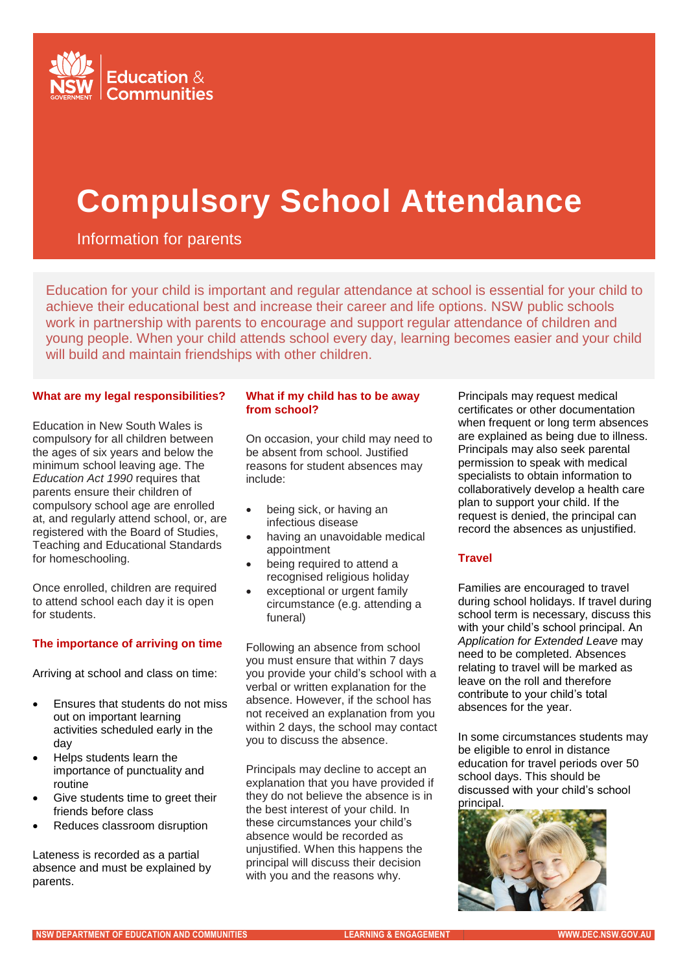

# **Compulsory School Attendance**

Information for parents

Education for your child is important and regular attendance at school is essential for your child to achieve their educational best and increase their career and life options. NSW public schools work in partnership with parents to encourage and support regular attendance of children and young people. When your child attends school every day, learning becomes easier and your child will build and maintain friendships with other children.

#### . **What are my legal responsibilities?**

Education in New South Wales is compulsory for all children between the ages of six years and below the minimum school leaving age. The *Education Act 1990* requires that parents ensure their children of compulsory school age are enrolled at, and regularly attend school, or, are registered with the Board of Studies, Teaching and Educational Standards for homeschooling.

Once enrolled, children are required to attend school each day it is open for students.

# **The importance of arriving on time**

Arriving at school and class on time:

- Ensures that students do not miss out on important learning activities scheduled early in the day
- Helps students learn the importance of punctuality and routine
- Give students time to greet their friends before class
- Reduces classroom disruption

Lateness is recorded as a partial absence and must be explained by parents.

#### **What if my child has to be away from school?**

On occasion, your child may need to be absent from school. Justified reasons for student absences may include:

- being sick, or having an infectious disease
- having an unavoidable medical appointment
- being required to attend a recognised religious holiday
- exceptional or urgent family circumstance (e.g. attending a funeral)

Following an absence from school you must ensure that within 7 days you provide your child's school with a verbal or written explanation for the absence. However, if the school has not received an explanation from you within 2 days, the school may contact you to discuss the absence.

Principals may decline to accept an explanation that you have provided if they do not believe the absence is in the best interest of your child. In these circumstances your child's absence would be recorded as unjustified. When this happens the principal will discuss their decision with you and the reasons why.

Principals may request medical certificates or other documentation when frequent or long term absences are explained as being due to illness. Principals may also seek parental permission to speak with medical specialists to obtain information to collaboratively develop a health care plan to support your child. If the request is denied, the principal can record the absences as unjustified.

# **Travel**

Families are encouraged to travel during school holidays. If travel during school term is necessary, discuss this with your child's school principal. An *Application for Extended Leave* may need to be completed. Absences relating to travel will be marked as leave on the roll and therefore contribute to your child's total absences for the year.

In some circumstances students may be eligible to enrol in distance education for travel periods over 50 school days. This should be discussed with your child's school principal.